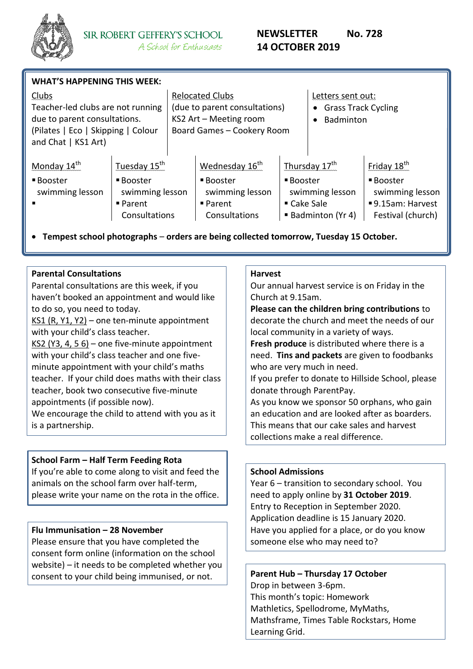

| <b>WHAT'S HAPPENING THIS WEEK:</b>                                                                                                      |                                                                                                    |                                                                                                                 |                                                                                                      |                                                                                      |                                                                                |                                                                                                 |
|-----------------------------------------------------------------------------------------------------------------------------------------|----------------------------------------------------------------------------------------------------|-----------------------------------------------------------------------------------------------------------------|------------------------------------------------------------------------------------------------------|--------------------------------------------------------------------------------------|--------------------------------------------------------------------------------|-------------------------------------------------------------------------------------------------|
| Clubs<br>Teacher-led clubs are not running<br>due to parent consultations.<br>(Pilates   Eco   Skipping   Colour<br>and Chat   KS1 Art) |                                                                                                    | <b>Relocated Clubs</b><br>(due to parent consultations)<br>KS2 Art - Meeting room<br>Board Games - Cookery Room |                                                                                                      |                                                                                      | Letters sent out:<br><b>Grass Track Cycling</b><br>$\bullet$<br>Badminton<br>٠ |                                                                                                 |
| Monday $14^{\text{th}}$<br>■ Booster<br>swimming lesson                                                                                 | Tuesday 15 <sup>th</sup><br>■ Booster<br>swimming lesson<br>$\blacksquare$ Parent<br>Consultations |                                                                                                                 | Wednesday 16 <sup>th</sup><br>■ Booster<br>swimming lesson<br>$\blacksquare$ Parent<br>Consultations | Thursday $17th$<br>■ Booster<br>swimming lesson<br>■ Cake Sale<br>■ Badminton (Yr 4) |                                                                                | Friday 18 <sup>th</sup><br>■ Booster<br>swimming lesson<br>9.15am: Harvest<br>Festival (church) |

**Tempest school photographs** – **orders are being collected tomorrow, Tuesday 15 October.** 

### **Parental Consultations**

Parental consultations are this week, if you haven't booked an appointment and would like to do so, you need to today.

KS1 (R, Y1, Y2) – one ten-minute appointment with your child's class teacher.

KS2 (Y3, 4, 5  $6$ ) – one five-minute appointment with your child's class teacher and one fiveminute appointment with your child's maths teacher. If your child does maths with their class teacher, book two consecutive five-minute appointments (if possible now).

We encourage the child to attend with you as it is a partnership.

### **School Farm – Half Term Feeding Rota**

If you're able to come along to visit and feed the animals on the school farm over half-term, please write your name on the rota in the office.

### **Flu Immunisation – 28 November**

Please ensure that you have completed the consent form online (information on the school website) – it needs to be completed whether you consent to your child being immunised, or not.

#### **Harvest**

Our annual harvest service is on Friday in the Church at 9.15am.

**Please can the children bring contributions** to decorate the church and meet the needs of our local community in a variety of ways.

**Fresh produce** is distributed where there is a need. **Tins and packets** are given to foodbanks who are very much in need.

If you prefer to donate to Hillside School, please donate through ParentPay.

As you know we sponsor 50 orphans, who gain an education and are looked after as boarders. This means that our cake sales and harvest collections make a real difference.

### **School Admissions**

Year 6 – transition to secondary school. You need to apply online by **31 October 2019**. Entry to Reception in September 2020. Application deadline is 15 January 2020. Have you applied for a place, or do you know someone else who may need to?

**Parent Hub – Thursday 17 October** Drop in between 3-6pm. This month's topic: Homework Mathletics, Spellodrome, MyMaths, Mathsframe, Times Table Rockstars, Home Learning Grid.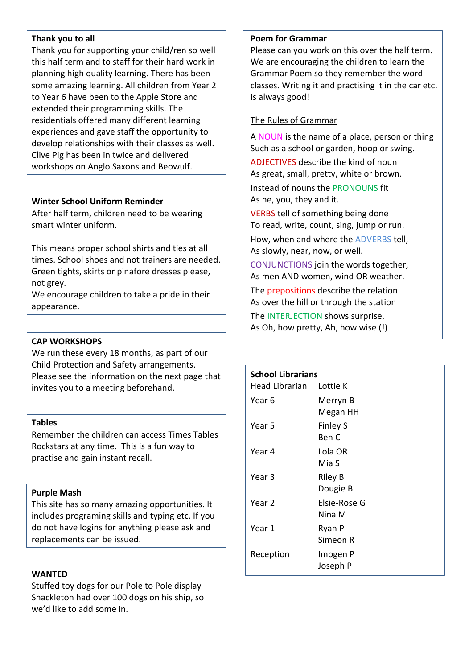### **Thank you to all**

Thank you for supporting your child/ren so well this half term and to staff for their hard work in planning high quality learning. There has been some amazing learning. All children from Year 2 to Year 6 have been to the Apple Store and extended their programming skills. The residentials offered many different learning experiences and gave staff the opportunity to develop relationships with their classes as well. Clive Pig has been in twice and delivered workshops on Anglo Saxons and Beowulf.

### **Winter School Uniform Reminder**

After half term, children need to be wearing smart winter uniform.

This means proper school shirts and ties at all times. School shoes and not trainers are needed. Green tights, skirts or pinafore dresses please, not grey.

We encourage children to take a pride in their appearance.

### **CAP WORKSHOPS**

We run these every 18 months, as part of our Child Protection and Safety arrangements. Please see the information on the next page that invites you to a meeting beforehand.

### **Tables**

Remember the children can access Times Tables Rockstars at any time. This is a fun way to practise and gain instant recall.

### **Purple Mash**

This site has so many amazing opportunities. It includes programing skills and typing etc. If you do not have logins for anything please ask and replacements can be issued.

### **WANTED**

Stuffed toy dogs for our Pole to Pole display – Shackleton had over 100 dogs on his ship, so we'd like to add some in.

### **Poem for Grammar**

Please can you work on this over the half term. We are encouraging the children to learn the Grammar Poem so they remember the word classes. Writing it and practising it in the car etc. is always good!

### The Rules of Grammar

A NOUN is the name of a place, person or thing Such as a school or garden, hoop or swing. ADJECTIVES describe the kind of noun As great, small, pretty, white or brown. Instead of nouns the PRONOUNS fit As he, you, they and it.

VERBS tell of something being done To read, write, count, sing, jump or run.

How, when and where the ADVERBS tell, As slowly, near, now, or well.

CONJUNCTIONS join the words together, As men AND women, wind OR weather.

The prepositions describe the relation As over the hill or through the station

The INTERJECTION shows surprise, As Oh, how pretty, Ah, how wise (!)

| <b>School Librarians</b><br>Head Librarian Lottie K |                 |  |  |  |
|-----------------------------------------------------|-----------------|--|--|--|
|                                                     |                 |  |  |  |
| Year 6                                              | Merryn B        |  |  |  |
|                                                     | Megan HH        |  |  |  |
| Year 5                                              | <b>Finley S</b> |  |  |  |
|                                                     | Ben C           |  |  |  |
| Year 4                                              | Lola OR         |  |  |  |
|                                                     | Mia S           |  |  |  |
| Year 3                                              | <b>Riley B</b>  |  |  |  |
|                                                     | Dougie B        |  |  |  |
| Year <sub>2</sub>                                   | Elsie-Rose G    |  |  |  |
|                                                     | Nina M          |  |  |  |
| Year 1                                              | Ryan P          |  |  |  |
|                                                     | Simeon R        |  |  |  |
| Reception                                           | Imogen P        |  |  |  |
|                                                     | Joseph P        |  |  |  |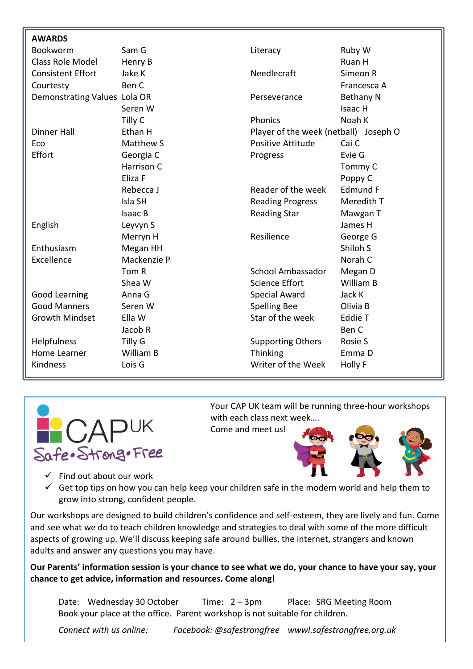| <b>AWARDS</b>                |                  |                                       |                  |
|------------------------------|------------------|---------------------------------------|------------------|
| Bookworm                     | Sam G            | Literacy                              | Ruby W           |
| Class Role Model             | Henry B          |                                       | Ruan H           |
| <b>Consistent Effort</b>     | Jake K           | Needlecraft                           | Simeon R         |
| Courtesty                    | Ben C            |                                       | Francesca A      |
| Demonstrating Values Lola OR |                  | Perseverance                          | <b>Bethany N</b> |
|                              | Seren W          |                                       | Isaac H          |
|                              | Tilly C          | Phonics                               | Noah K           |
| <b>Dinner Hall</b>           | Ethan H          | Player of the week (netball) Joseph O |                  |
| Eco                          | <b>Matthew S</b> | Positive Attitude                     | Cai C            |
| Effort                       | Georgia C        | Progress                              | Evie G           |
|                              | Harrison C       |                                       | Tommy C          |
|                              | Eliza F          |                                       | Poppy C          |
|                              | Rebecca J        | Reader of the week                    | <b>Edmund F</b>  |
|                              | Isla SH          | <b>Reading Progress</b>               | Meredith T       |
|                              | Isaac B          | <b>Reading Star</b>                   | Mawgan T         |
| English                      | Leyvyn S         |                                       | James H          |
|                              | Merryn H         | Resilience                            | George G         |
| Enthusiasm                   | Megan HH         |                                       | Shiloh S         |
| Excellence                   | Mackenzie P      |                                       | Norah C          |
|                              | Tom R            | School Ambassador                     | Megan D          |
|                              | Shea W           | <b>Science Effort</b>                 | William B        |
| Good Learning                | Anna G           | <b>Special Award</b>                  | Jack K           |
| <b>Good Manners</b>          | Seren W          | <b>Spelling Bee</b>                   | Olivia B         |
| <b>Growth Mindset</b>        | Ella W           | Star of the week                      | <b>Eddie T</b>   |
|                              | Jacob R          |                                       | Ben C            |
| <b>Helpfulness</b>           | Tilly G          | <b>Supporting Others</b>              | Rosie S          |
| Home Learner                 | William B        | Thinking                              | Emma D           |
| Kindness                     | Lois G           | Writer of the Week                    | Holly F          |
|                              |                  |                                       |                  |



Your CAP UK team will be running three-hour workshops with each class next week….

Come and meet us!



- $\checkmark$  Find out about our work
- $\checkmark$  Get top tips on how you can help keep your children safe in the modern world and help them to grow into strong, confident people.

Our workshops are designed to build children's confidence and self-esteem, they are lively and fun. Come and see what we do to teach children knowledge and strategies to deal with some of the more difficult aspects of growing up. We'll discuss keeping safe around bullies, the internet, strangers and known adults and answer any questions you may have.

**Our Parents' information session is your chance to see what we do, your chance to have your say, your chance to get advice, information and resources. Come along!**

Date: Wednesday 30 October Time: 2 – 3pm Place: SRG Meeting Room Book your place at the office. Parent workshop is not suitable for children.

*Connect with us online: Facebook: @safestrongfree wwwl.safestrongfree.org.uk*